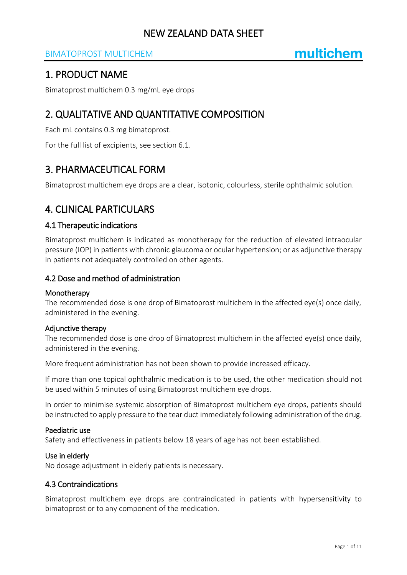## BIMATOPROST MULTICHEM

## 1. PRODUCT NAME

Bimatoprost multichem 0.3 mg/mL eye drops

## 2. QUALITATIVE AND QUANTITATIVE COMPOSITION

Each mL contains 0.3 mg bimatoprost.

For the full list of excipients, see section 6.1.

## 3. PHARMACEUTICAL FORM

Bimatoprost multichem eye drops are a clear, isotonic, colourless, sterile ophthalmic solution.

## 4. CLINICAL PARTICULARS

#### 4.1 Therapeutic indications

Bimatoprost multichem is indicated as monotherapy for the reduction of elevated intraocular pressure (IOP) in patients with chronic glaucoma or ocular hypertension; or as adjunctive therapy in patients not adequately controlled on other agents.

#### 4.2 Dose and method of administration

#### Monotherapy

The recommended dose is one drop of Bimatoprost multichem in the affected eye(s) once daily, administered in the evening.

#### Adjunctive therapy

The recommended dose is one drop of Bimatoprost multichem in the affected eye(s) once daily, administered in the evening.

More frequent administration has not been shown to provide increased efficacy.

If more than one topical ophthalmic medication is to be used, the other medication should not be used within 5 minutes of using Bimatoprost multichem eye drops.

In order to minimise systemic absorption of Bimatoprost multichem eye drops, patients should be instructed to apply pressure to the tear duct immediately following administration of the drug.

#### Paediatric use

Safety and effectiveness in patients below 18 years of age has not been established.

#### Use in elderly

No dosage adjustment in elderly patients is necessary.

#### 4.3 Contraindications

Bimatoprost multichem eye drops are contraindicated in patients with hypersensitivity to bimatoprost or to any component of the medication.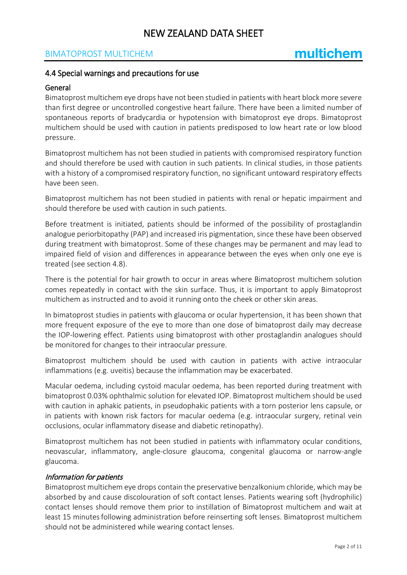### BIMATOPROST MULTICHEM

#### 4.4 Special warnings and precautions for use

#### General

Bimatoprost multichem eye drops have not been studied in patients with heart block more severe than first degree or uncontrolled congestive heart failure. There have been a limited number of spontaneous reports of bradycardia or hypotension with bimatoprost eye drops. Bimatoprost multichem should be used with caution in patients predisposed to low heart rate or low blood pressure.

Bimatoprost multichem has not been studied in patients with compromised respiratory function and should therefore be used with caution in such patients. In clinical studies, in those patients with a history of a compromised respiratory function, no significant untoward respiratory effects have been seen.

Bimatoprost multichem has not been studied in patients with renal or hepatic impairment and should therefore be used with caution in such patients.

Before treatment is initiated, patients should be informed of the possibility of prostaglandin analogue periorbitopathy (PAP) and increased iris pigmentation, since these have been observed during treatment with bimatoprost. Some of these changes may be permanent and may lead to impaired field of vision and differences in appearance between the eyes when only one eye is treated (see section 4.8).

There is the potential for hair growth to occur in areas where Bimatoprost multichem solution comes repeatedly in contact with the skin surface. Thus, it is important to apply Bimatoprost multichem as instructed and to avoid it running onto the cheek or other skin areas.

In bimatoprost studies in patients with glaucoma or ocular hypertension, it has been shown that more frequent exposure of the eye to more than one dose of bimatoprost daily may decrease the IOP-lowering effect. Patients using bimatoprost with other prostaglandin analogues should be monitored for changes to their intraocular pressure.

Bimatoprost multichem should be used with caution in patients with active intraocular inflammations (e.g. uveitis) because the inflammation may be exacerbated.

Macular oedema, including cystoid macular oedema, has been reported during treatment with bimatoprost 0.03% ophthalmic solution for elevated IOP. Bimatoprost multichem should be used with caution in aphakic patients, in pseudophakic patients with a torn posterior lens capsule, or in patients with known risk factors for macular oedema (e.g. intraocular surgery, retinal vein occlusions, ocular inflammatory disease and diabetic retinopathy).

Bimatoprost multichem has not been studied in patients with inflammatory ocular conditions, neovascular, inflammatory, angle-closure glaucoma, congenital glaucoma or narrow-angle glaucoma.

#### Information for patients

Bimatoprost multichem eye drops contain the preservative benzalkonium chloride, which may be absorbed by and cause discolouration of soft contact lenses. Patients wearing soft (hydrophilic) contact lenses should remove them prior to instillation of Bimatoprost multichem and wait at least 15 minutes following administration before reinserting soft lenses. Bimatoprost multichem should not be administered while wearing contact lenses.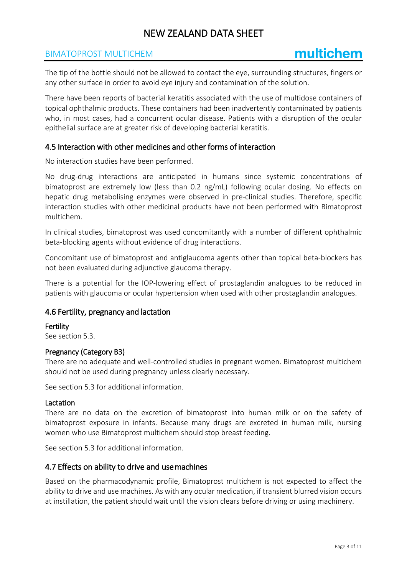### BIMATOPROST MULTICHEM

The tip of the bottle should not be allowed to contact the eye, surrounding structures, fingers or any other surface in order to avoid eye injury and contamination of the solution.

There have been reports of bacterial keratitis associated with the use of multidose containers of topical ophthalmic products. These containers had been inadvertently contaminated by patients who, in most cases, had a concurrent ocular disease. Patients with a disruption of the ocular epithelial surface are at greater risk of developing bacterial keratitis.

#### 4.5 Interaction with other medicines and other forms of interaction

No interaction studies have been performed.

No drug-drug interactions are anticipated in humans since systemic concentrations of bimatoprost are extremely low (less than 0.2 ng/mL) following ocular dosing. No effects on hepatic drug metabolising enzymes were observed in pre-clinical studies. Therefore, specific interaction studies with other medicinal products have not been performed with Bimatoprost multichem.

In clinical studies, bimatoprost was used concomitantly with a number of different ophthalmic beta-blocking agents without evidence of drug interactions.

Concomitant use of bimatoprost and antiglaucoma agents other than topical beta-blockers has not been evaluated during adjunctive glaucoma therapy.

There is a potential for the IOP-lowering effect of prostaglandin analogues to be reduced in patients with glaucoma or ocular hypertension when used with other prostaglandin analogues.

#### 4.6 Fertility, pregnancy and lactation

Fertility

See section 5.3.

#### Pregnancy (Category B3)

There are no adequate and well-controlled studies in pregnant women. Bimatoprost multichem should not be used during pregnancy unless clearly necessary.

See section 5.3 for additional information.

#### Lactation

There are no data on the excretion of bimatoprost into human milk or on the safety of bimatoprost exposure in infants. Because many drugs are excreted in human milk, nursing women who use Bimatoprost multichem should stop breast feeding.

See section 5.3 for additional information.

#### 4.7 Effects on ability to drive and use machines

Based on the pharmacodynamic profile, Bimatoprost multichem is not expected to affect the ability to drive and use machines. As with any ocular medication, if transient blurred vision occurs at instillation, the patient should wait until the vision clears before driving or using machinery.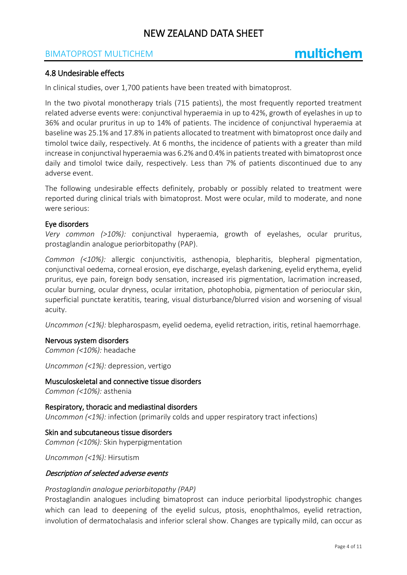### BIMATOPROST MULTICHEM

#### 4.8 Undesirable effects

In clinical studies, over 1,700 patients have been treated with bimatoprost.

In the two pivotal monotherapy trials (715 patients), the most frequently reported treatment related adverse events were: conjunctival hyperaemia in up to 42%, growth of eyelashes in up to 36% and ocular pruritus in up to 14% of patients. The incidence of conjunctival hyperaemia at baseline was 25.1% and 17.8% in patients allocated to treatment with bimatoprost once daily and timolol twice daily, respectively. At 6 months, the incidence of patients with a greater than mild increase in conjunctival hyperaemia was 6.2% and 0.4% in patients treated with bimatoprost once daily and timolol twice daily, respectively. Less than 7% of patients discontinued due to any adverse event.

The following undesirable effects definitely, probably or possibly related to treatment were reported during clinical trials with bimatoprost. Most were ocular, mild to moderate, and none were serious:

#### Eye disorders

*Very common (>10%):* conjunctival hyperaemia, growth of eyelashes, ocular pruritus, prostaglandin analogue periorbitopathy (PAP).

*Common (<10%):* allergic conjunctivitis, asthenopia, blepharitis, blepheral pigmentation, conjunctival oedema, corneal erosion, eye discharge, eyelash darkening, eyelid erythema, eyelid pruritus, eye pain, foreign body sensation, increased iris pigmentation, lacrimation increased, ocular burning, ocular dryness, ocular irritation, photophobia, pigmentation of periocular skin, superficial punctate keratitis, tearing, visual disturbance/blurred vision and worsening of visual acuity.

*Uncommon (<1%):* blepharospasm, eyelid oedema, eyelid retraction, iritis, retinal haemorrhage.

#### Nervous system disorders

*Common (<10%):* headache

*Uncommon (<1%):* depression, vertigo

Musculoskeletal and connective tissue disorders *Common (<10%):* asthenia

Respiratory, thoracic and mediastinal disorders *Uncommon (<1%):* infection (primarily colds and upper respiratory tract infections)

Skin and subcutaneous tissue disorders *Common (<10%):* Skin hyperpigmentation

*Uncommon (<1%):* Hirsutism

#### Description of selected adverse events

#### *Prostaglandin analogue periorbitopathy (PAP)*

Prostaglandin analogues including bimatoprost can induce periorbital lipodystrophic changes which can lead to deepening of the eyelid sulcus, ptosis, enophthalmos, eyelid retraction, involution of dermatochalasis and inferior scleral show. Changes are typically mild, can occur as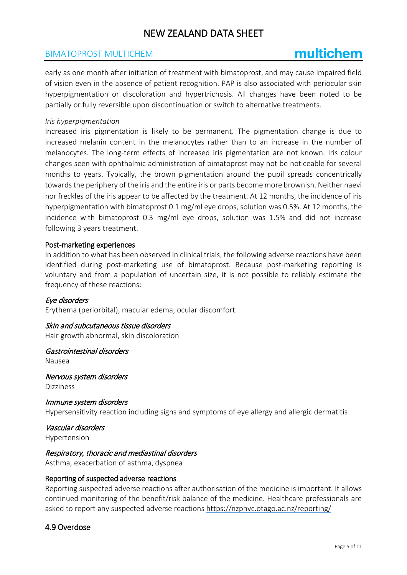### BIMATOPROST MULTICHEM

# multichem

early as one month after initiation of treatment with bimatoprost, and may cause impaired field of vision even in the absence of patient recognition. PAP is also associated with periocular skin hyperpigmentation or discoloration and hypertrichosis. All changes have been noted to be partially or fully reversible upon discontinuation or switch to alternative treatments.

#### *Iris hyperpigmentation*

Increased iris pigmentation is likely to be permanent. The pigmentation change is due to increased melanin content in the melanocytes rather than to an increase in the number of melanocytes. The long-term effects of increased iris pigmentation are not known. Iris colour changes seen with ophthalmic administration of bimatoprost may not be noticeable for several months to years. Typically, the brown pigmentation around the pupil spreads concentrically towards the periphery of the iris and the entire iris or parts become more brownish. Neither naevi nor freckles of the iris appear to be affected by the treatment. At 12 months, the incidence of iris hyperpigmentation with bimatoprost 0.1 mg/ml eye drops, solution was 0.5%. At 12 months, the incidence with bimatoprost 0.3 mg/ml eye drops, solution was 1.5% and did not increase following 3 years treatment.

#### Post-marketing experiences

In addition to what has been observed in clinical trials, the following adverse reactions have been identified during post-marketing use of bimatoprost. Because post-marketing reporting is voluntary and from a population of uncertain size, it is not possible to reliably estimate the frequency of these reactions:

#### Eye disorders

Erythema (periorbital), macular edema, ocular discomfort.

### Skin and subcutaneous tissue disorders

Hair growth abnormal, skin discoloration

#### Gastrointestinal disorders

Nausea

Nervous system disorders Dizziness

Immune system disorders Hypersensitivity reaction including signs and symptoms of eye allergy and allergic dermatitis

Vascular disorders

Hypertension

#### Respiratory, thoracic and mediastinal disorders

Asthma, exacerbation of asthma, dyspnea

#### Reporting of suspected adverse reactions

Reporting suspected adverse reactions after authorisation of the medicine is important. It allows continued monitoring of the benefit/risk balance of the medicine. Healthcare professionals are asked to report any suspected adverse reactions<https://nzphvc.otago.ac.nz/reporting/>

#### 4.9 Overdose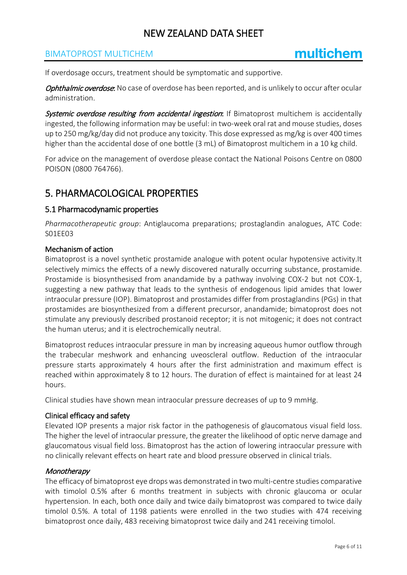### BIMATOPROST MULTICHEM

If overdosage occurs, treatment should be symptomatic and supportive.

Ophthalmic overdose: No case of overdose has been reported, and is unlikely to occur after ocular administration.

Systemic overdose resulting from accidental ingestion: If Bimatoprost multichem is accidentally ingested, the following information may be useful: in two-week oral rat and mouse studies, doses up to 250 mg/kg/day did not produce any toxicity. This dose expressed as mg/kg is over 400 times higher than the accidental dose of one bottle (3 mL) of Bimatoprost multichem in a 10 kg child.

For advice on the management of overdose please contact the National Poisons Centre on 0800 POISON (0800 764766).

## 5. PHARMACOLOGICAL PROPERTIES

#### 5.1 Pharmacodynamic properties

*Pharmacotherapeutic group*: Antiglaucoma preparations; prostaglandin analogues, ATC Code: S01EE03

#### Mechanism of action

Bimatoprost is a novel synthetic prostamide analogue with potent ocular hypotensive activity.It selectively mimics the effects of a newly discovered naturally occurring substance, prostamide. Prostamide is biosynthesised from anandamide by a pathway involving COX-2 but not COX-1, suggesting a new pathway that leads to the synthesis of endogenous lipid amides that lower intraocular pressure (IOP). Bimatoprost and prostamides differ from prostaglandins (PGs) in that prostamides are biosynthesized from a different precursor, anandamide; bimatoprost does not stimulate any previously described prostanoid receptor; it is not mitogenic; it does not contract the human uterus; and it is electrochemically neutral.

Bimatoprost reduces intraocular pressure in man by increasing aqueous humor outflow through the trabecular meshwork and enhancing uveoscleral outflow. Reduction of the intraocular pressure starts approximately 4 hours after the first administration and maximum effect is reached within approximately 8 to 12 hours. The duration of effect is maintained for at least 24 hours.

Clinical studies have shown mean intraocular pressure decreases of up to 9 mmHg.

#### Clinical efficacy and safety

Elevated IOP presents a major risk factor in the pathogenesis of glaucomatous visual field loss. The higher the level of intraocular pressure, the greater the likelihood of optic nerve damage and glaucomatous visual field loss. Bimatoprost has the action of lowering intraocular pressure with no clinically relevant effects on heart rate and blood pressure observed in clinical trials.

#### **Monotherapy**

The efficacy of bimatoprost eye drops was demonstrated in two multi-centre studies comparative with timolol 0.5% after 6 months treatment in subjects with chronic glaucoma or ocular hypertension. In each, both once daily and twice daily bimatoprost was compared to twice daily timolol 0.5%. A total of 1198 patients were enrolled in the two studies with 474 receiving bimatoprost once daily, 483 receiving bimatoprost twice daily and 241 receiving timolol.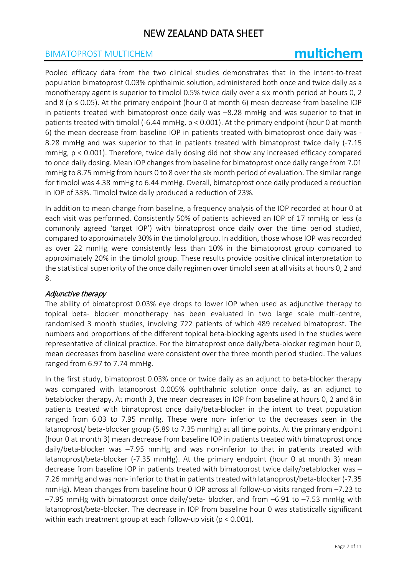### BIMATOPROST MULTICHEM

# multichem

Pooled efficacy data from the two clinical studies demonstrates that in the intent-to-treat population bimatoprost 0.03% ophthalmic solution, administered both once and twice daily as a monotherapy agent is superior to timolol 0.5% twice daily over a six month period at hours 0, 2 and 8 ( $p \le 0.05$ ). At the primary endpoint (hour 0 at month 6) mean decrease from baseline IOP in patients treated with bimatoprost once daily was –8.28 mmHg and was superior to that in patients treated with timolol (-6.44 mmHg, p < 0.001). At the primary endpoint (hour 0 at month 6) the mean decrease from baseline IOP in patients treated with bimatoprost once daily was - 8.28 mmHg and was superior to that in patients treated with bimatoprost twice daily (-7.15 mmHg, p < 0.001). Therefore, twice daily dosing did not show any increased efficacy compared to once daily dosing. Mean IOP changes from baseline for bimatoprost once daily range from 7.01 mmHg to 8.75 mmHg from hours 0 to 8 over the six month period of evaluation. The similar range for timolol was 4.38 mmHg to 6.44 mmHg. Overall, bimatoprost once daily produced a reduction in IOP of 33%. Timolol twice daily produced a reduction of 23%.

In addition to mean change from baseline, a frequency analysis of the IOP recorded at hour 0 at each visit was performed. Consistently 50% of patients achieved an IOP of 17 mmHg or less (a commonly agreed 'target IOP') with bimatoprost once daily over the time period studied, compared to approximately 30% in the timolol group. In addition, those whose IOP was recorded as over 22 mmHg were consistently less than 10% in the bimatoprost group compared to approximately 20% in the timolol group. These results provide positive clinical interpretation to the statistical superiority of the once daily regimen over timolol seen at all visits at hours 0, 2 and 8.

#### Adjunctive therapy

The ability of bimatoprost 0.03% eye drops to lower IOP when used as adjunctive therapy to topical beta- blocker monotherapy has been evaluated in two large scale multi-centre, randomised 3 month studies, involving 722 patients of which 489 received bimatoprost. The numbers and proportions of the different topical beta-blocking agents used in the studies were representative of clinical practice. For the bimatoprost once daily/beta-blocker regimen hour 0, mean decreases from baseline were consistent over the three month period studied. The values ranged from 6.97 to 7.74 mmHg.

In the first study, bimatoprost 0.03% once or twice daily as an adjunct to beta-blocker therapy was compared with latanoprost 0.005% ophthalmic solution once daily, as an adjunct to betablocker therapy. At month 3, the mean decreases in IOP from baseline at hours 0, 2 and 8 in patients treated with bimatoprost once daily/beta-blocker in the intent to treat population ranged from 6.03 to 7.95 mmHg. These were non- inferior to the decreases seen in the latanoprost/ beta-blocker group (5.89 to 7.35 mmHg) at all time points. At the primary endpoint (hour 0 at month 3) mean decrease from baseline IOP in patients treated with bimatoprost once daily/beta-blocker was –7.95 mmHg and was non-inferior to that in patients treated with latanoprost/beta-blocker (-7.35 mmHg). At the primary endpoint (hour 0 at month 3) mean decrease from baseline IOP in patients treated with bimatoprost twice daily/betablocker was – 7.26 mmHg and was non- inferior to that in patients treated with latanoprost/beta-blocker (-7.35 mmHg). Mean changes from baseline hour 0 IOP across all follow-up visits ranged from –7.23 to –7.95 mmHg with bimatoprost once daily/beta- blocker, and from –6.91 to –7.53 mmHg with latanoprost/beta-blocker. The decrease in IOP from baseline hour 0 was statistically significant within each treatment group at each follow-up visit (p < 0.001).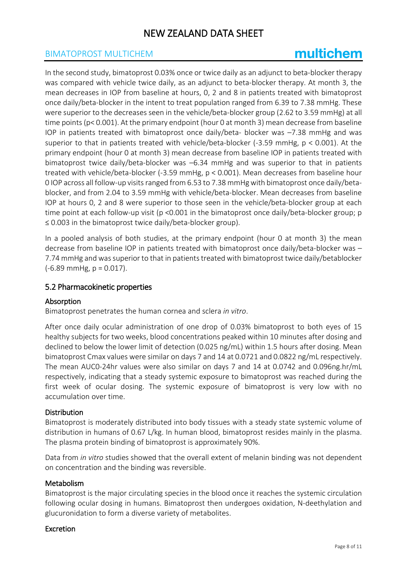### BIMATOPROST MULTICHEM

# multichem

In the second study, bimatoprost 0.03% once or twice daily as an adjunct to beta-blocker therapy was compared with vehicle twice daily, as an adjunct to beta-blocker therapy. At month 3, the mean decreases in IOP from baseline at hours, 0, 2 and 8 in patients treated with bimatoprost once daily/beta-blocker in the intent to treat population ranged from 6.39 to 7.38 mmHg. These were superior to the decreases seen in the vehicle/beta-blocker group (2.62 to 3.59 mmHg) at all time points (p< 0.001). At the primary endpoint (hour 0 at month 3) mean decrease from baseline IOP in patients treated with bimatoprost once daily/beta- blocker was –7.38 mmHg and was superior to that in patients treated with vehicle/beta-blocker (-3.59 mmHg, p < 0.001). At the primary endpoint (hour 0 at month 3) mean decrease from baseline IOP in patients treated with bimatoprost twice daily/beta-blocker was –6.34 mmHg and was superior to that in patients treated with vehicle/beta-blocker (-3.59 mmHg, p < 0.001). Mean decreases from baseline hour 0 IOP across all follow-up visits ranged from 6.53 to 7.38 mmHg with bimatoprost once daily/betablocker, and from 2.04 to 3.59 mmHg with vehicle/beta-blocker. Mean decreases from baseline IOP at hours 0, 2 and 8 were superior to those seen in the vehicle/beta-blocker group at each time point at each follow-up visit (p < 0.001 in the bimatoprost once daily/beta-blocker group; p ≤ 0.003 in the bimatoprost twice daily/beta-blocker group).

In a pooled analysis of both studies, at the primary endpoint (hour 0 at month 3) the mean decrease from baseline IOP in patients treated with bimatoprost once daily/beta-blocker was – 7.74 mmHg and was superior to that in patients treated with bimatoprost twice daily/betablocker  $(-6.89 \text{ mmHg}, p = 0.017)$ .

#### 5.2 Pharmacokinetic properties

#### Absorption

Bimatoprost penetrates the human cornea and sclera *in vitro*.

After once daily ocular administration of one drop of 0.03% bimatoprost to both eyes of 15 healthy subjects for two weeks, blood concentrations peaked within 10 minutes after dosing and declined to below the lower limit of detection (0.025 ng/mL) within 1.5 hours after dosing. Mean bimatoprost Cmax values were similar on days 7 and 14 at 0.0721 and 0.0822 ng/mL respectively. The mean AUC0-24hr values were also similar on days 7 and 14 at 0.0742 and 0.096ng.hr/mL respectively, indicating that a steady systemic exposure to bimatoprost was reached during the first week of ocular dosing. The systemic exposure of bimatoprost is very low with no accumulation over time.

#### Distribution

Bimatoprost is moderately distributed into body tissues with a steady state systemic volume of distribution in humans of 0.67 L/kg. In human blood, bimatoprost resides mainly in the plasma. The plasma protein binding of bimatoprost is approximately 90%.

Data from *in vitro* studies showed that the overall extent of melanin binding was not dependent on concentration and the binding was reversible.

#### Metabolism

Bimatoprost is the major circulating species in the blood once it reaches the systemic circulation following ocular dosing in humans. Bimatoprost then undergoes oxidation, N-deethylation and glucuronidation to form a diverse variety of metabolites.

#### Excretion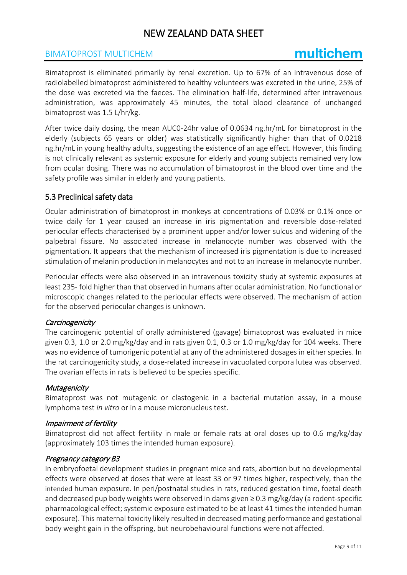### BIMATOPROST MULTICHEM

# multichem

Bimatoprost is eliminated primarily by renal excretion. Up to 67% of an intravenous dose of radiolabelled bimatoprost administered to healthy volunteers was excreted in the urine, 25% of the dose was excreted via the faeces. The elimination half-life, determined after intravenous administration, was approximately 45 minutes, the total blood clearance of unchanged bimatoprost was 1.5 L/hr/kg.

After twice daily dosing, the mean AUC0-24hr value of 0.0634 ng.hr/mL for bimatoprost in the elderly (subjects 65 years or older) was statistically significantly higher than that of 0.0218 ng.hr/mL in young healthy adults, suggesting the existence of an age effect. However, this finding is not clinically relevant as systemic exposure for elderly and young subjects remained very low from ocular dosing. There was no accumulation of bimatoprost in the blood over time and the safety profile was similar in elderly and young patients.

#### 5.3 Preclinical safety data

Ocular administration of bimatoprost in monkeys at concentrations of 0.03% or 0.1% once or twice daily for 1 year caused an increase in iris pigmentation and reversible dose-related periocular effects characterised by a prominent upper and/or lower sulcus and widening of the palpebral fissure. No associated increase in melanocyte number was observed with the pigmentation. It appears that the mechanism of increased iris pigmentation is due to increased stimulation of melanin production in melanocytes and not to an increase in melanocyte number.

Periocular effects were also observed in an intravenous toxicity study at systemic exposures at least 235- fold higher than that observed in humans after ocular administration. No functional or microscopic changes related to the periocular effects were observed. The mechanism of action for the observed periocular changes is unknown.

#### **Carcinogenicity**

The carcinogenic potential of orally administered (gavage) bimatoprost was evaluated in mice given 0.3, 1.0 or 2.0 mg/kg/day and in rats given 0.1, 0.3 or 1.0 mg/kg/day for 104 weeks. There was no evidence of tumorigenic potential at any of the administered dosages in either species. In the rat carcinogenicity study, a dose-related increase in vacuolated corpora lutea was observed. The ovarian effects in rats is believed to be species specific.

#### **Mutagenicity**

Bimatoprost was not mutagenic or clastogenic in a bacterial mutation assay, in a mouse lymphoma test *in vitro* or in a mouse micronucleus test.

#### Impairment of fertility

Bimatoprost did not affect fertility in male or female rats at oral doses up to 0.6 mg/kg/day (approximately 103 times the intended human exposure).

#### Pregnancy category B3

In embryofoetal development studies in pregnant mice and rats, abortion but no developmental effects were observed at doses that were at least 33 or 97 times higher, respectively, than the intended human exposure. In peri/postnatal studies in rats, reduced gestation time, foetal death and decreased pup body weights were observed in dams given ≥ 0.3 mg/kg/day (a rodent-specific pharmacological effect; systemic exposure estimated to be at least 41 times the intended human exposure). This maternal toxicity likely resulted in decreased mating performance and gestational body weight gain in the offspring, but neurobehavioural functions were not affected.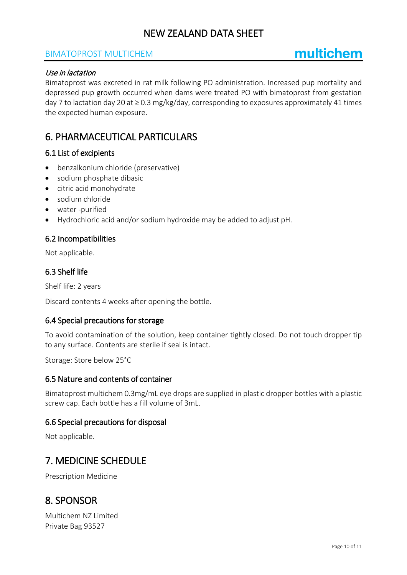### BIMATOPROST MULTICHEM

# multichem

#### Use in lactation

Bimatoprost was excreted in rat milk following PO administration. Increased pup mortality and depressed pup growth occurred when dams were treated PO with bimatoprost from gestation day 7 to lactation day 20 at  $\geq$  0.3 mg/kg/day, corresponding to exposures approximately 41 times the expected human exposure.

## 6. PHARMACEUTICAL PARTICULARS

#### 6.1 List of excipients

- benzalkonium chloride (preservative)
- sodium phosphate dibasic
- citric acid monohydrate
- sodium chloride
- water -purified
- Hydrochloric acid and/or sodium hydroxide may be added to adjust pH.

#### 6.2 Incompatibilities

Not applicable.

#### 6.3 Shelf life

Shelf life: 2 years

Discard contents 4 weeks after opening the bottle.

#### 6.4 Special precautions for storage

To avoid contamination of the solution, keep container tightly closed. Do not touch dropper tip to any surface. Contents are sterile if seal is intact.

Storage: Store below 25°C

#### 6.5 Nature and contents of container

Bimatoprost multichem 0.3mg/mL eye drops are supplied in plastic dropper bottles with a plastic screw cap. Each bottle has a fill volume of 3mL.

#### 6.6 Special precautions for disposal

Not applicable.

## 7. MEDICINE SCHEDULE

Prescription Medicine

## 8. SPONSOR

Multichem NZ Limited Private Bag 93527